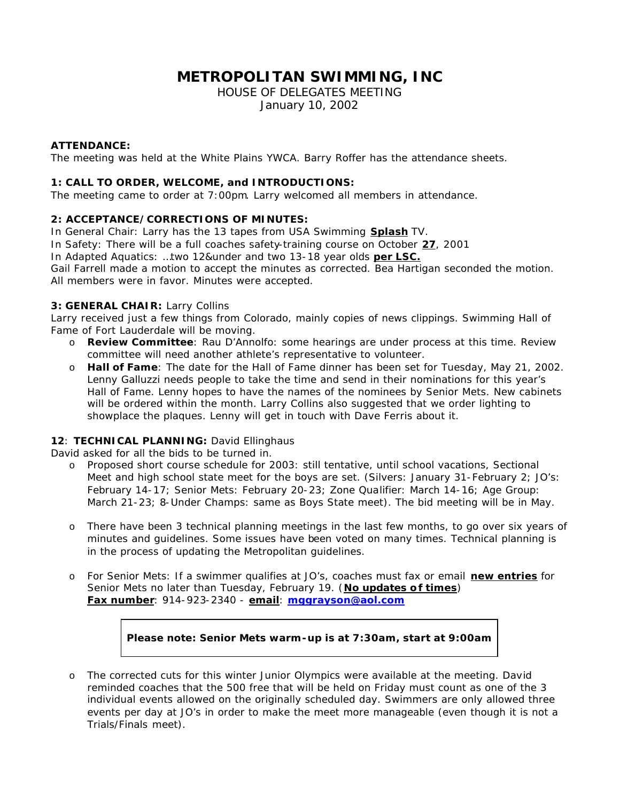# **METROPOLITAN SWIMMING, INC**

HOUSE OF DELEGATES MEETING January 10, 2002

#### **ATTENDANCE:**

The meeting was held at the White Plains YWCA. Barry Roffer has the attendance sheets.

#### **1: CALL TO ORDER, WELCOME, and INTRODUCTIONS:**

The meeting came to order at 7:00pm. Larry welcomed all members in attendance.

#### **2: ACCEPTANCE/CORRECTIONS OF MINUTES:**

In General Chair: Larry has the 13 tapes from USA Swimming **Splash** TV. In Safety: There will be a full coaches safety-training course on October **27**, 2001 In Adapted Aquatics: …two 12&under and two 13-18 year olds **per LSC.** Gail Farrell made a motion to accept the minutes as corrected. Bea Hartigan seconded the motion. All members were in favor. Minutes were accepted.

#### **3: GENERAL CHAIR:** Larry Collins

Larry received just a few things from Colorado, mainly copies of news clippings. Swimming Hall of Fame of Fort Lauderdale will be moving.

- o **Review Committee**: Rau D'Annolfo: some hearings are under process at this time. Review committee will need another athlete's representative to volunteer.
- o **Hall of Fame**: The date for the Hall of Fame dinner has been set for Tuesday, May 21, 2002. Lenny Galluzzi needs people to take the time and send in their nominations for this year's Hall of Fame. Lenny hopes to have the names of the nominees by Senior Mets. New cabinets will be ordered within the month. Larry Collins also suggested that we order lighting to showplace the plaques. Lenny will get in touch with Dave Ferris about it.

## **12**: **TECHNICAL PLANNING:** David Ellinghaus

David asked for all the bids to be turned in.

- o Proposed short course schedule for 2003: still tentative, until school vacations, Sectional Meet and high school state meet for the boys are set. (Silvers: January 31-February 2; JO's: February 14-17; Senior Mets: February 20-23; Zone Qualifier: March 14-16; Age Group: March 21-23; 8-Under Champs: same as Boys State meet). The bid meeting will be in May.
- o There have been 3 technical planning meetings in the last few months, to go over six years of minutes and guidelines. Some issues have been voted on many times. Technical planning is in the process of updating the Metropolitan guidelines.
- o For Senior Mets: If a swimmer qualifies at JO's, coaches must fax or email **new entries** for Senior Mets no later than Tuesday, February 19. (**No updates of times**) **Fax number**: 914-923-2340 - **email**: **mggrayson@aol.com**

## **Please note: Senior Mets warm-up is at 7:30am, start at 9:00am**

o The corrected cuts for this winter Junior Olympics were available at the meeting. David reminded coaches that the 500 free that will be held on Friday must count as one of the 3 individual events allowed on the originally scheduled day. Swimmers are only allowed three events per day at JO's in order to make the meet more manageable (even though it is not a Trials/Finals meet).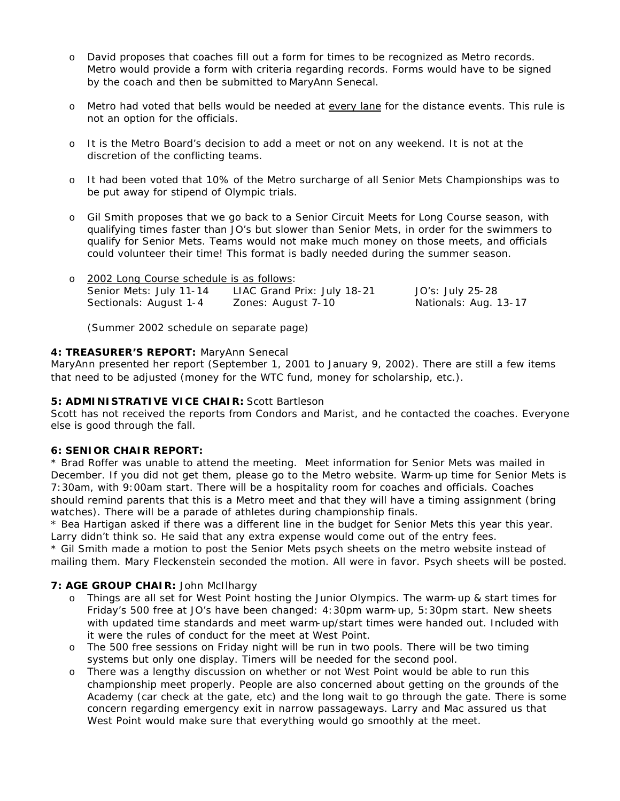- o David proposes that coaches fill out a form for times to be recognized as Metro records. Metro would provide a form with criteria regarding records. Forms would have to be signed by the coach and then be submitted to MaryAnn Senecal.
- o Metro had voted that bells would be needed at every lane for the distance events. This rule is not an option for the officials.
- o It is the Metro Board's decision to add a meet or not on any weekend. It is not at the discretion of the conflicting teams.
- o It had been voted that 10% of the Metro surcharge of all Senior Mets Championships was to be put away for stipend of Olympic trials.
- o Gil Smith proposes that we go back to a Senior Circuit Meets for Long Course season, with qualifying times faster than JO's but slower than Senior Mets, in order for the swimmers to qualify for Senior Mets. Teams would not make much money on those meets, and officials could volunteer their time! This format is badly needed during the summer season.

| o 2002 Long Course schedule is as follows: |                             |                       |  |
|--------------------------------------------|-----------------------------|-----------------------|--|
| Senior Mets: July 11-14                    | LIAC Grand Prix: July 18-21 | JO's: July 25-28      |  |
| Sectionals: August 1-4                     | Zones: August 7-10          | Nationals: Aug. 13-17 |  |

(Summer 2002 schedule on separate page)

#### **4: TREASURER'S REPORT:** MaryAnn Senecal

MaryAnn presented her report (September 1, 2001 to January 9, 2002). There are still a few items that need to be adjusted (money for the WTC fund, money for scholarship, etc.).

# **5: ADMINISTRATIVE VICE CHAIR:** Scott Bartleson

Scott has not received the reports from Condors and Marist, and he contacted the coaches. Everyone else is good through the fall.

#### **6: SENIOR CHAIR REPORT:**

\* Brad Roffer was unable to attend the meeting. Meet information for Senior Mets was mailed in December. If you did not get them, please go to the Metro website. Warm-up time for Senior Mets is 7:30am, with 9:00am start. There will be a hospitality room for coaches and officials. Coaches should remind parents that this is a Metro meet and that they will have a timing assignment (bring watches). There will be a parade of athletes during championship finals.

\* Bea Hartigan asked if there was a different line in the budget for Senior Mets this year this year. Larry didn't think so. He said that any extra expense would come out of the entry fees.

\* Gil Smith made a motion to post the Senior Mets psych sheets on the metro website instead of mailing them. Mary Fleckenstein seconded the motion. All were in favor. Psych sheets will be posted.

## **7: AGE GROUP CHAIR:** John McIlhargy

- o Things are all set for West Point hosting the Junior Olympics. The warm-up & start times for Friday's 500 free at JO's have been changed: 4:30pm warm-up, 5:30pm start. New sheets with updated time standards and meet warm-up/start times were handed out. Included with it were the rules of conduct for the meet at West Point.
- o The 500 free sessions on Friday night will be run in two pools. There will be two timing systems but only one display. Timers will be needed for the second pool.
- o There was a lengthy discussion on whether or not West Point would be able to run this championship meet properly. People are also concerned about getting on the grounds of the Academy (car check at the gate, etc) and the long wait to go through the gate. There is some concern regarding emergency exit in narrow passageways. Larry and Mac assured us that West Point would make sure that everything would go smoothly at the meet.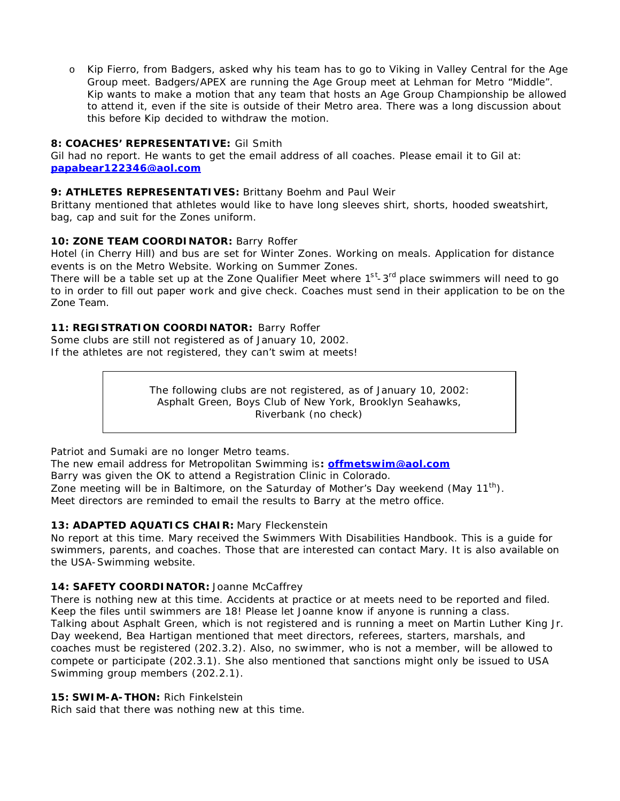o Kip Fierro, from Badgers, asked why his team has to go to Viking in Valley Central for the Age Group meet. Badgers/APEX are running the Age Group meet at Lehman for Metro "Middle". Kip wants to make a motion that any team that hosts an Age Group Championship be allowed to attend it, even if the site is outside of their Metro area. There was a long discussion about this before Kip decided to withdraw the motion.

## **8: COACHES' REPRESENTATIVE:** Gil Smith

Gil had no report. He wants to get the email address of all coaches. Please email it to Gil at: **papabear122346@aol.com**

# **9: ATHLETES REPRESENTATIVES:** Brittany Boehm and Paul Weir

Brittany mentioned that athletes would like to have long sleeves shirt, shorts, hooded sweatshirt, bag, cap and suit for the Zones uniform.

# 10: **ZONE TEAM COORDINATOR: Barry Roffer**

Hotel (in Cherry Hill) and bus are set for Winter Zones. Working on meals. Application for distance events is on the Metro Website. Working on Summer Zones.

There will be a table set up at the Zone Qualifier Meet where  $1<sup>st</sup>$ -3<sup>rd</sup> place swimmers will need to go to in order to fill out paper work and give check. Coaches must send in their application to be on the Zone Team.

# **11: REGISTRATION COORDINATOR:** Barry Roffer

Some clubs are still not registered as of January 10, 2002. If the athletes are not registered, they can't swim at meets!

> The following clubs are not registered, as of January 10, 2002: Asphalt Green, Boys Club of New York, Brooklyn Seahawks, Riverbank (no check)

Patriot and Sumaki are no longer Metro teams.

The new email address for Metropolitan Swimming is**: offmetswim@aol.com** Barry was given the OK to attend a Registration Clinic in Colorado. Zone meeting will be in Baltimore, on the Saturday of Mother's Day weekend (May  $11^{th}$ ). Meet directors are reminded to email the results to Barry at the metro office.

## **13: ADAPTED AQUATICS CHAIR:** Mary Fleckenstein

No report at this time. Mary received the Swimmers With Disabilities Handbook. This is a guide for swimmers, parents, and coaches. Those that are interested can contact Mary. It is also available on the USA-Swimming website.

## 14: **SAFETY COORDINATOR:** Joanne McCaffrey

There is nothing new at this time. Accidents at practice or at meets need to be reported and filed. Keep the files until swimmers are 18! Please let Joanne know if anyone is running a class. Talking about Asphalt Green, which is not registered and is running a meet on Martin Luther King Jr. Day weekend, Bea Hartigan mentioned that meet directors, referees, starters, marshals, and coaches must be registered (202.3.2). Also, no swimmer, who is not a member, will be allowed to compete or participate (202.3.1). She also mentioned that sanctions might only be issued to USA Swimming group members (202.2.1).

# **15: SWIM-A-THON:** Rich Finkelstein

Rich said that there was nothing new at this time.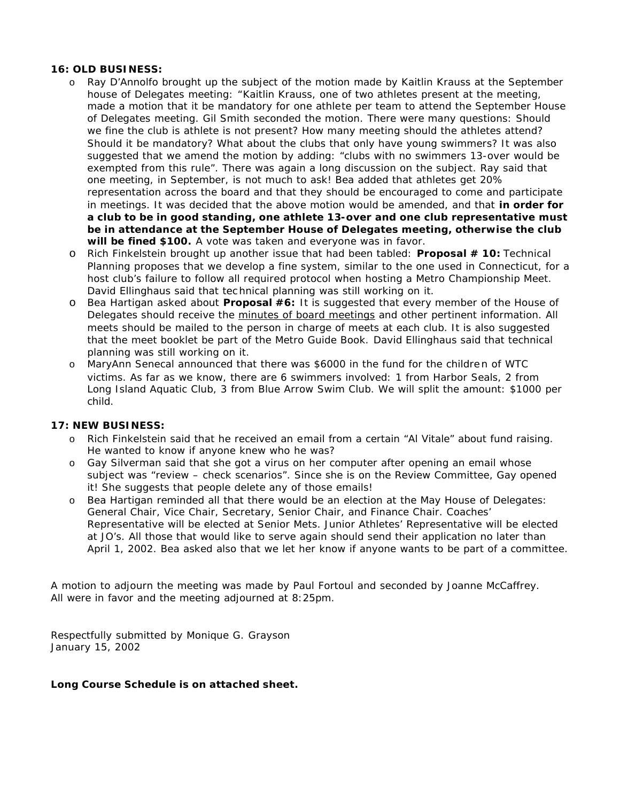#### **16: OLD BUSINESS:**

- o Ray D'Annolfo brought up the subject of the motion made by Kaitlin Krauss at the September house of Delegates meeting: "*Kaitlin Krauss, one of two athletes present at the meeting, made a motion that it be mandatory for one athlete per team to attend the September House of Delegates meeting. Gil Smith seconded the motion*. *There were many questions: Should we fine the club is athlete is not present? How many meeting should the athletes attend? Should it be mandatory? What about the clubs that only have young swimmers? It was also suggested that we amend the motion by adding: "clubs with no swimmers 13-over would be exempted from this rule".* There was again a long discussion on the subject. Ray said that one meeting, in September, is not much to ask! Bea added that athletes get 20% representation across the board and that they should be encouraged to come and participate in meetings. It was decided that the above motion would be amended, and that **in order for a club to be in good standing, one athlete 13-over and one club representative must be in attendance at the September House of Delegates meeting, otherwise the club will be fined \$100.** A vote was taken and everyone was in favor.
- o Rich Finkelstein brought up another issue that had been tabled: **Proposal # 10:** *Technical Planning proposes that we develop a fine system, similar to the one used in Connecticut, for a host club's failure to follow all required protocol when hosting a Metro Championship Meet.* David Ellinghaus said that tec hnical planning was still working on it.
- o Bea Hartigan asked about **Proposal #6:** *It is suggested that every member of the House of Delegates should receive the minutes of board meetings and other pertinent information. All meets should be mailed to the person in charge of meets at each club. It is also suggested*  that the meet booklet be part of the Metro Guide Book. David Ellinghaus said that technical planning was still working on it.
- o MaryAnn Senecal announced that there was \$6000 in the fund for the childre n of WTC victims. As far as we know, there are 6 swimmers involved: 1 from Harbor Seals, 2 from Long Island Aquatic Club, 3 from Blue Arrow Swim Club. We will split the amount: \$1000 per child.

#### **17: NEW BUSINESS:**

- o Rich Finkelstein said that he received an email from a certain "Al Vitale" about fund raising. He wanted to know if anyone knew who he was?
- o Gay Silverman said that she got a virus on her computer after opening an email whose subject was "review – check scenarios". Since she is on the Review Committee, Gay opened it! She suggests that people delete any of those emails!
- o Bea Hartigan reminded all that there would be an election at the May House of Delegates: General Chair, Vice Chair, Secretary, Senior Chair, and Finance Chair. Coaches' Representative will be elected at Senior Mets. Junior Athletes' Representative will be elected at JO's. All those that would like to serve again should send their application no later than April 1, 2002. Bea asked also that we let her know if anyone wants to be part of a committee.

A motion to adjourn the meeting was made by Paul Fortoul and seconded by Joanne McCaffrey. All were in favor and the meeting adjourned at 8:25pm.

Respectfully submitted by Monique G. Grayson January 15, 2002

## **Long Course Schedule is on attached sheet.**